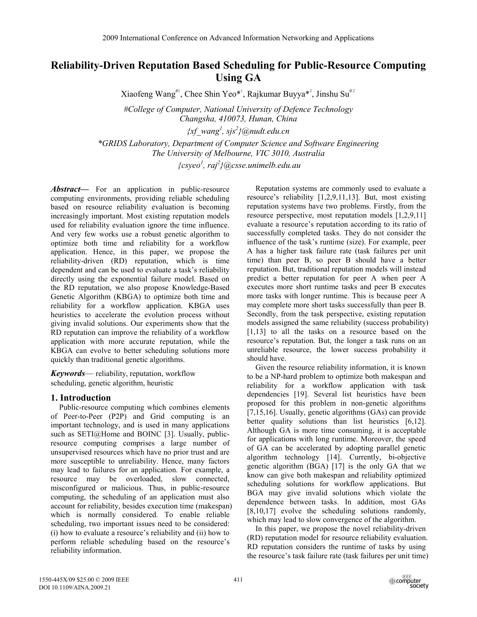# **Reliability-Driven Reputation Based Scheduling for Public-Resource Computing Using GA**

Xiaofeng Wang<sup>#1</sup>, Chee Shin Yeo\*<sup>1</sup>, Rajkumar Buyya\*<sup>2</sup>, Jinshu Su<sup>#2</sup>

*#College of Computer, National University of Defence Technology Changsha, 410073, Hunan, China* 

*{xf\_wang<sup>1</sup> , sjs<sup>2</sup> }@nudt.edu.cn* 

*\*GRIDS Laboratory, Department of Computer Science and Software Engineering The University of Melbourne, VIC 3010, Australia* 

 *{csyeo<sup>1</sup> , raj<sup>2</sup> }@csse.unimelb.edu.au* 

*Abstract*— For an application in public-resource computing environments, providing reliable scheduling based on resource reliability evaluation is becoming increasingly important. Most existing reputation models used for reliability evaluation ignore the time influence. And very few works use a robust genetic algorithm to optimize both time and reliability for a workflow application. Hence, in this paper, we propose the reliability-driven (RD) reputation, which is time dependent and can be used to evaluate a task's reliability directly using the exponential failure model. Based on the RD reputation, we also propose Knowledge-Based Genetic Algorithm (KBGA) to optimize both time and reliability for a workflow application. KBGA uses heuristics to accelerate the evolution process without giving invalid solutions. Our experiments show that the RD reputation can improve the reliability of a workflow application with more accurate reputation, while the KBGA can evolve to better scheduling solutions more quickly than traditional genetic algorithms.

*Keywords*— reliability, reputation, workflow scheduling, genetic algorithm, heuristic

# **1. Introduction**

Public-resource computing which combines elements of Peer-to-Peer (P2P) and Grid computing is an important technology, and is used in many applications such as SETI@Home and BOINC [3]. Usually, publicresource computing comprises a large number of unsupervised resources which have no prior trust and are more susceptible to unreliability. Hence, many factors may lead to failures for an application. For example, a resource may be overloaded, slow connected, misconfigured or malicious. Thus, in public-resource computing, the scheduling of an application must also account for reliability, besides execution time (makespan) which is normally considered. To enable reliable scheduling, two important issues need to be considered: (i) how to evaluate a resource's reliability and (ii) how to perform reliable scheduling based on the resource's reliability information.

Reputation systems are commonly used to evaluate a resource's reliability [1,2,9,11,13]. But, most existing reputation systems have two problems. Firstly, from the resource perspective, most reputation models [1,2,9,11] evaluate a resource's reputation according to its ratio of successfully completed tasks. They do not consider the influence of the task's runtime (size). For example, peer A has a higher task failure rate (task failures per unit time) than peer B, so peer B should have a better reputation. But, traditional reputation models will instead predict a better reputation for peer A when peer A executes more short runtime tasks and peer B executes more tasks with longer runtime. This is because peer A may complete more short tasks successfully than peer B. Secondly, from the task perspective, existing reputation models assigned the same reliability (success probability) [1,13] to all the tasks on a resource based on the resource's reputation. But, the longer a task runs on an unreliable resource, the lower success probability it should have.

Given the resource reliability information, it is known to be a NP-hard problem to optimize both makespan and reliability for a workflow application with task dependencies [19]. Several list heuristics have been proposed for this problem in non-genetic algorithms [7,15,16]. Usually, genetic algorithms (GAs) can provide better quality solutions than list heuristics [6,12]. Although GA is more time consuming, it is acceptable for applications with long runtime. Moreover, the speed of GA can be accelerated by adopting parallel genetic algorithm technology [14]. Currently, bi-objective genetic algorithm (BGA) [17] is the only GA that we know can give both makespan and reliability optimized scheduling solutions for workflow applications. But BGA may give invalid solutions which violate the dependence between tasks. In addition, most GAs [8,10,17] evolve the scheduling solutions randomly, which may lead to slow convergence of the algorithm.

In this paper, we propose the novel reliability-driven (RD) reputation model for resource reliability evaluation. RD reputation considers the runtime of tasks by using the resource's task failure rate (task failures per unit time)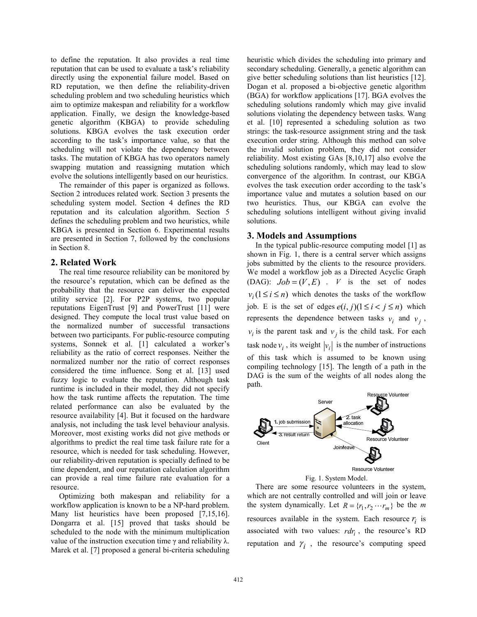to define the reputation. It also provides a real time reputation that can be used to evaluate a task's reliability directly using the exponential failure model. Based on RD reputation, we then define the reliability-driven scheduling problem and two scheduling heuristics which aim to optimize makespan and reliability for a workflow application. Finally, we design the knowledge-based genetic algorithm (KBGA) to provide scheduling solutions. KBGA evolves the task execution order according to the task's importance value, so that the scheduling will not violate the dependency between tasks. The mutation of KBGA has two operators namely swapping mutation and reassigning mutation which evolve the solutions intelligently based on our heuristics.

The remainder of this paper is organized as follows. Section 2 introduces related work. Section 3 presents the scheduling system model. Section 4 defines the RD reputation and its calculation algorithm. Section 5 defines the scheduling problem and two heuristics, while KBGA is presented in Section 6. Experimental results are presented in Section 7, followed by the conclusions in Section 8.

# **2. Related Work**

The real time resource reliability can be monitored by the resource's reputation, which can be defined as the probability that the resource can deliver the expected utility service [2]. For P2P systems, two popular reputations EigenTrust [9] and PowerTrust [11] were designed. They compute the local trust value based on the normalized number of successful transactions between two participants. For public-resource computing systems, Sonnek et al. [1] calculated a worker's reliability as the ratio of correct responses. Neither the normalized number nor the ratio of correct responses considered the time influence. Song et al. [13] used fuzzy logic to evaluate the reputation. Although task runtime is included in their model, they did not specify how the task runtime affects the reputation. The time related performance can also be evaluated by the resource availability [4]. But it focused on the hardware analysis, not including the task level behaviour analysis. Moreover, most existing works did not give methods or algorithms to predict the real time task failure rate for a resource, which is needed for task scheduling. However, our reliability-driven reputation is specially defined to be time dependent, and our reputation calculation algorithm can provide a real time failure rate evaluation for a resource.

Optimizing both makespan and reliability for a workflow application is known to be a NP-hard problem. Many list heuristics have been proposed [7,15,16]. Dongarra et al. [15] proved that tasks should be scheduled to the node with the minimum multiplication value of the instruction execution time γ and reliability λ. Marek et al. [7] proposed a general bi-criteria scheduling heuristic which divides the scheduling into primary and secondary scheduling. Generally, a genetic algorithm can give better scheduling solutions than list heuristics [12]. Dogan et al. proposed a bi-objective genetic algorithm (BGA) for workflow applications [17]. BGA evolves the scheduling solutions randomly which may give invalid solutions violating the dependency between tasks. Wang et al. [10] represented a scheduling solution as two strings: the task-resource assignment string and the task execution order string. Although this method can solve the invalid solution problem, they did not consider reliability. Most existing GAs [8,10,17] also evolve the scheduling solutions randomly, which may lead to slow convergence of the algorithm. In contrast, our KBGA evolves the task execution order according to the task's importance value and mutates a solution based on our two heuristics. Thus, our KBGA can evolve the scheduling solutions intelligent without giving invalid solutions.

# **3. Models and Assumptions**

In the typical public-resource computing model [1] as shown in Fig. 1, there is a central server which assigns jobs submitted by the clients to the resource providers. We model a workflow job as a Directed Acyclic Graph (DAG):  $Job = (V, E)$  . *V* is the set of nodes  $v_i$  ( $1 \le i \le n$ ) which denotes the tasks of the workflow job. E is the set of edges  $e(i, j)(1 \leq i < j \leq n)$  which represents the dependence between tasks  $v_i$  and  $v_j$ ,  $v_i$  is the parent task and  $v_j$  is the child task. For each task node  $v_i$ , its weight  $|v_i|$  is the number of instructions of this task which is assumed to be known using compiling technology [15]. The length of a path in the DAG is the sum of the weights of all nodes along the path.



Fig. 1. System Model.

There are some resource volunteers in the system, which are not centrally controlled and will join or leave the system dynamically. Let  $R = \{r_1, r_2 \cdots r_m\}$  be the *m* resources available in the system. Each resource  $r_i$  is associated with two values:  $r dr_i$ , the resource's RD reputation and  $\gamma_i$ , the resource's computing speed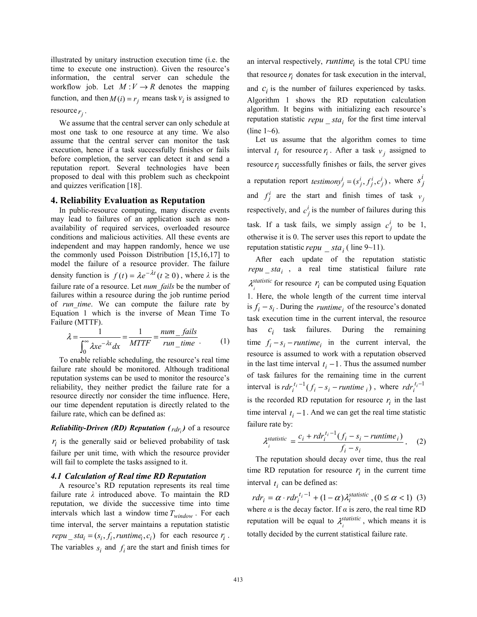illustrated by unitary instruction execution time (i.e. the time to execute one instruction). Given the resource's information, the central server can schedule the workflow job. Let  $M: V \to R$  denotes the mapping function, and then  $M(i) = r_i$  means task  $v_i$  is assigned to

resource  $r_i$ .

We assume that the central server can only schedule at most one task to one resource at any time. We also assume that the central server can monitor the task execution, hence if a task successfully finishes or fails before completion, the server can detect it and send a reputation report. Several technologies have been proposed to deal with this problem such as checkpoint and quizzes verification [18].

### **4. Reliability Evaluation as Reputation**

In public-resource computing, many discrete events may lead to failures of an application such as nonavailability of required services, overloaded resource conditions and malicious activities. All these events are independent and may happen randomly, hence we use the commonly used Poisson Distribution [15,16,17] to model the failure of a resource provider. The failure density function is  $f(t) = \lambda e^{-\lambda t}$   $(t \ge 0)$ , where  $\lambda$  is the failure rate of a resource. Let *num\_fails* be the number of failures within a resource during the job runtime period of *run\_time*. We can compute the failure rate by Equation 1 which is the inverse of Mean Time To Failure (MTTF).

$$
\lambda = \frac{1}{\int_0^\infty \lambda x e^{-\lambda x} dx} = \frac{1}{MTTF} = \frac{num\_fails}{run\_time} \tag{1}
$$

To enable reliable scheduling, the resource's real time failure rate should be monitored. Although traditional reputation systems can be used to monitor the resource's reliability, they neither predict the failure rate for a resource directly nor consider the time influence. Here, our time dependent reputation is directly related to the failure rate, which can be defined as:

### *Reliability-Driven (RD) Reputation (* $_{rdr}$ *)* of a resource

 $r_i$  is the generally said or believed probability of task failure per unit time, with which the resource provider will fail to complete the tasks assigned to it.

### *4.1 Calculation of Real time RD Reputation*

A resource's RD reputation represents its real time failure rate *λ* introduced above. To maintain the RD reputation, we divide the successive time into time intervals which last a window time  $T_{window}$ . For each time interval, the server maintains a reputation statistic  $repu\_sta_i = (s_i, f_i, runtime_i, c_i)$  for each resource  $r_i$ . The variables  $s_i$  and  $f_i$  are the start and finish times for

an interval respectively, *runtime*, is the total CPU time that resource  $r_i$  donates for task execution in the interval, and  $c_i$  is the number of failures experienced by tasks. Algorithm 1 shows the RD reputation calculation algorithm. It begins with initializing each resource's reputation statistic  $repu$   $sta<sub>i</sub>$  for the first time interval (line  $1~6$ ).

Let us assume that the algorithm comes to time interval  $t_i$  for resource  $r_i$ . After a task  $v_i$  assigned to resource  $r_i$  successfully finishes or fails, the server gives a reputation report *testimony*<sup>*i*</sup><sub>*j*</sub> =  $(s_j^i, f_j^i, c_j^i)$ , where  $s_j^i$ and  $f_j^i$  are the start and finish times of task  $v_j$ respectively, and  $c_j^i$  is the number of failures during this task. If a task fails, we simply assign  $c_j^i$  to be 1, otherwise it is 0. The server uses this report to update the reputation statistic *repu*  $sta_i$  ( line 9~11).

After each update of the reputation statistic  $repu<sub>i</sub>$  , a real time statistical failure rate  $\lambda_i^{statistic}$  for resource  $r_i$  can be computed using Equation 1. Here, the whole length of the current time interval is  $f_i - s_i$ . During the *runtime* of the resource's donated task execution time in the current interval, the resource has  $c_i$  task failures. During the remaining time  $f_i - s_i$  – *runtime* in the current interval, the resource is assumed to work with a reputation observed in the last time interval  $t_i - 1$ . Thus the assumed number of task failures for the remaining time in the current interval is  $rdr_i^{t_i-1}(f_i - s_i - runtime_i)$ , where  $rdr_i^{t_i-1}$ is the recorded RD reputation for resource  $r_i$  in the last time interval  $t_i - 1$ . And we can get the real time statistic failure rate by:

$$
\lambda_i^{statistic} = \frac{c_i + r dr_i^{t_i - 1} (f_i - s_i - runtime_i)}{f_i - s_i} \,. \tag{2}
$$

The reputation should decay over time, thus the real time RD reputation for resource  $r_i$  in the current time interval  $t_i$  can be defined as:

 $= \alpha \cdot rdr_i^{t_i-1} + (1 - \alpha)\lambda_i^{statistic}$ ,  $(0 \leq \alpha < 1)$ *t*  $rdr_i = \alpha \cdot rdr_i^{t_i-1} + (1-\alpha)\lambda_i^{statistic}$ ,  $(0 \le \alpha < 1)$  (3) where *α* is the decay factor. If *α* is zero, the real time RD reputation will be equal to  $\lambda_i^{statistic}$ , which means it is totally decided by the current statistical failure rate.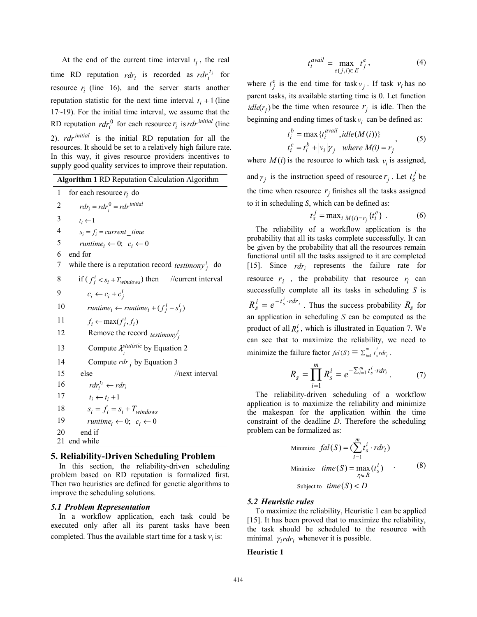At the end of the current time interval  $t_i$ , the real time RD reputation  $r dr_i$  is recorded as  $r dr_i^{t_i}$  for resource  $r_i$  (line 16), and the server starts another reputation statistic for the next time interval  $t_i + 1$  (line 17~19). For the initial time interval, we assume that the RD reputation  $rdr_i^0$  for each resource  $r_i$  is  $rdr^{initial}$  (line 2). *rdr*<sup>initial</sup> is the initial RD reputation for all the resources. It should be set to a relatively high failure rate. In this way, it gives resource providers incentives to supply good quality services to improve their reputation.

**Algorithm 1** RD Reputation Calculation Algorithm

1 for each resource  $r_i$  do 2  $rdr_i = rdr_i^0 = rdr^{initial}$ 3  $t_i \leftarrow 1$ 4  $s_i = f_i$  = current time 5  $$ 6 end for 7 while there is a reputation record *testimony*<sup>*i*</sup> do 8 if  $(f_j^i < s_i + T_{windows})$  then //current interval 9  $c_i \leftarrow c_i + c_j^i$ 10  $\qquad \text{runtime}_i \leftarrow \text{runtime}_i + (f^i_j - s^i_j)$ 11  $f_i \leftarrow \max(f_j^i, f_i)$ 12 Remove the record  $\text{testimony}^i_j$ 13 Compute  $\lambda_i^{statistic}$  by Equation 2 14 Compute *rdr* i by Equation 3 15 else //next interval 16  $\int r dr_i^{t_i} \leftarrow r dr_i$ 17  $t_i \leftarrow t_i + 1$ 18  $s_i = f_i = s_i + T_{windows}$ 19  $$ 20 end if 21 end while

# **5. Reliability-Driven Scheduling Problem**

In this section, the reliability-driven scheduling problem based on RD reputation is formalized first. Then two heuristics are defined for genetic algorithms to improve the scheduling solutions.

#### *5.1 Problem Representation*

In a workflow application, each task could be executed only after all its parent tasks have been completed. Thus the available start time for a task  $v_i$  is:

$$
t_i^{\text{avail}} = \max_{e(j,i)\in E} t_j^e,\tag{4}
$$

where  $t_j^e$  is the end time for task  $v_j$ . If task  $v_i$  has no parent tasks, its available starting time is 0. Let function  $\text{idle}(r_i)$  be the time when resource  $r_i$  is idle. Then the beginning and ending times of task  $v_i$  can be defined as:

$$
t_i^b = \max \{ t_i^{avail}, idle(M(i)) \}
$$
  
\n
$$
t_i^e = t_i^b + |v_i| \gamma_j \quad where \ M(i) = r_j
$$
\n(5)

where  $M(i)$  is the resource to which task  $v_i$  is assigned, and  $\gamma_j$  is the instruction speed of resource  $r_j$ . Let  $t_s^j$  be the time when resource  $r<sub>j</sub>$  finishes all the tasks assigned to it in scheduling *S*, which can be defined as:

$$
t_s^j = \max_{i \mid M(i) = r_j} \{ t_i^e \} .
$$
 (6)

The reliability of a workflow application is the probability that all its tasks complete successfully. It can be given by the probability that all the resources remain functional until all the tasks assigned to it are completed [15]. Since  $rdr_i$  represents the failure rate for resource  $r_i$ , the probability that resource  $r_i$  can successfully complete all its tasks in scheduling *S* is  $R_s^i = e^{-t_s^i \cdot r dr_i}$ . Thus the success probability  $R_s$  for an application in scheduling *S* can be computed as the product of all  $R_s^i$ , which is illustrated in Equation 7. We can see that to maximize the reliability, we need to minimize the failure factor  $fal(S) = \sum_{i=1}^{m} t_s^{i} r dr_i$ *s*  $fal(S) = \sum_{i=1}^{m} t_{s}^{i} r dr_{i}$ .

$$
R_{s} = \prod_{i=1}^{m} R_{s}^{i} = e^{-\sum_{i=1}^{m} t_{s}^{i} \cdot rdr_{i}}.
$$
 (7)

The reliability-driven scheduling of a workflow application is to maximize the reliability and minimize the makespan for the application within the time constraint of the deadline *D*. Therefore the scheduling problem can be formalized as:

Minimize 
$$
fal(S) = \left(\sum_{i=1}^{m} t_s^i \cdot r dr_i\right)
$$
  
\nMinimize  $time(S) = \max_{r_i \in R} (t_s^i)$  (8)  
\nSubject to  $time(S) < D$ 

#### *5.2 Heuristic rules*

To maximize the reliability, Heuristic 1 can be applied [15]. It has been proved that to maximize the reliability, the task should be scheduled to the resource with minimal  $\gamma_i r dr_i$  whenever it is possible.

#### **Heuristic 1**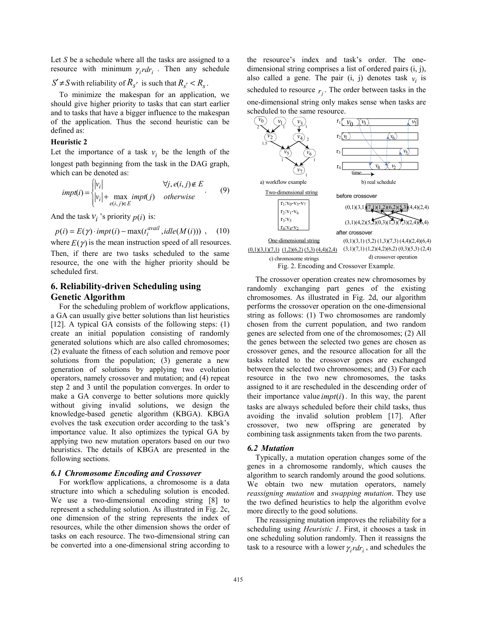Let *S* be a schedule where all the tasks are assigned to a resource with minimum  $\gamma_i r dr_i$ . Then any schedule

## $S' \neq S$  with reliability of  $R_{s'}$  is such that  $R_{s'} < R_s$ .

To minimize the makespan for an application, we should give higher priority to tasks that can start earlier and to tasks that have a bigger influence to the makespan of the application. Thus the second heuristic can be defined as:

#### **Heuristic 2**

Let the importance of a task  $v_i$  be the length of the longest path beginning from the task in the DAG graph, which can be denoted as:

$$
impt(i) = \begin{cases} |v_i| & \forall j, e(i, j) \notin E \\ |v_i| + \max_{e(i, j) \in E} impt(j) & otherwise \end{cases}
$$
 (9)

And the task  $v_i$  's priority  $p(i)$  is:

$$
p(i) = E(\gamma) \cdot impt(i) - \max(t_i^{\text{avail}}, idle(M(i))) , \quad (10)
$$

where  $E(\gamma)$  is the mean instruction speed of all resources. Then, if there are two tasks scheduled to the same resource, the one with the higher priority should be scheduled first.

# **6. Reliability-driven Scheduling using Genetic Algorithm**

For the scheduling problem of workflow applications, a GA can usually give better solutions than list heuristics [12]. A typical GA consists of the following steps: (1) create an initial population consisting of randomly generated solutions which are also called chromosomes; (2) evaluate the fitness of each solution and remove poor solutions from the population; (3) generate a new generation of solutions by applying two evolution operators, namely crossover and mutation; and (4) repeat step 2 and 3 until the population converges. In order to make a GA converge to better solutions more quickly without giving invalid solutions, we design the knowledge-based genetic algorithm (KBGA). KBGA evolves the task execution order according to the task's importance value. It also optimizes the typical GA by applying two new mutation operators based on our two heuristics. The details of KBGA are presented in the following sections.

## *6.1 Chromosome Encoding and Crossover*

For workflow applications, a chromosome is a data structure into which a scheduling solution is encoded. We use a two-dimensional encoding string [8] to represent a scheduling solution. As illustrated in Fig. 2c, one dimension of the string represents the index of resources, while the other dimension shows the order of tasks on each resource. The two-dimensional string can be converted into a one-dimensional string according to

the resource's index and task's order. The onedimensional string comprises a list of ordered pairs (i, j), also called a gene. The pair  $(i, j)$  denotes task  $v_i$  is scheduled to resource  $r_i$ . The order between tasks in the one-dimensional string only makes sense when tasks are scheduled to the same resource.



The crossover operation creates new chromosomes by randomly exchanging part genes of the existing chromosomes. As illustrated in Fig. 2d, our algorithm performs the crossover operation on the one-dimensional string as follows: (1) Two chromosomes are randomly chosen from the current population, and two random genes are selected from one of the chromosomes; (2) All the genes between the selected two genes are chosen as crossover genes, and the resource allocation for all the tasks related to the crossover genes are exchanged between the selected two chromosomes; and (3) For each resource in the two new chromosomes, the tasks assigned to it are rescheduled in the descending order of their importance value  $impt(i)$ . In this way, the parent tasks are always scheduled before their child tasks, thus avoiding the invalid solution problem [17]. After crossover, two new offspring are generated by combining task assignments taken from the two parents.

### *6.2 Mutation*

Typically, a mutation operation changes some of the genes in a chromosome randomly, which causes the algorithm to search randomly around the good solutions. We obtain two new mutation operators, namely *reassigning mutation* and *swapping mutation*. They use the two defined heuristics to help the algorithm evolve more directly to the good solutions.

The reassigning mutation improves the reliability for a scheduling using *Heuristic 1*. First, it chooses a task in one scheduling solution randomly. Then it reassigns the task to a resource with a lower  $\gamma_i r dr_i$ , and schedules the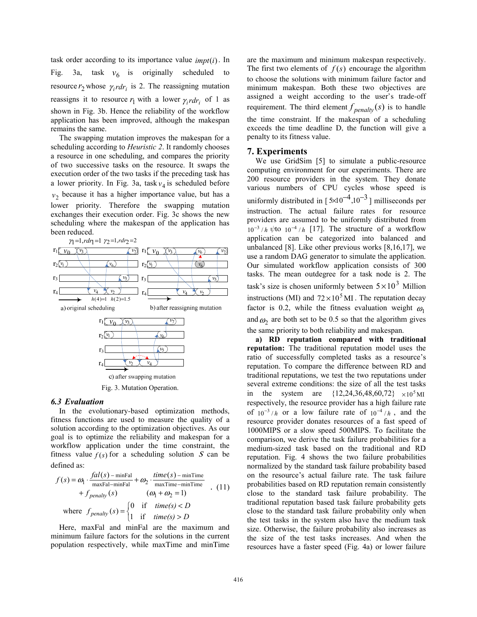task order according to its importance value *impt*(*i*). In Fig. 3a, task  $v_6$  is originally scheduled to resource  $r_2$  whose  $\gamma_i r dr_i$  is 2. The reassigning mutation reassigns it to resource  $r_1$  with a lower  $\gamma_i r dr_i$  of 1 as shown in Fig. 3b. Hence the reliability of the workflow application has been improved, although the makespan remains the same.

The swapping mutation improves the makespan for a scheduling according to *Heuristic 2*. It randomly chooses a resource in one scheduling, and compares the priority of two successive tasks on the resource. It swaps the execution order of the two tasks if the preceding task has a lower priority. In Fig. 3a, task  $v_4$  is scheduled before  $v<sub>2</sub>$  because it has a higher importance value, but has a lower priority. Therefore the swapping mutation exchanges their execution order. Fig. 3c shows the new scheduling where the makespan of the application has been reduced.



#### *6.3 Evaluation*

In the evolutionary-based optimization methods, fitness functions are used to measure the quality of a solution according to the optimization objectives. As our goal is to optimize the reliability and makespan for a workflow application under the time constraint, the fitness value  $f(s)$  for a scheduling solution S can be defined as:

$$
f(s) = \omega_1 \cdot \frac{fal(s) - \min \text{ Fal}}{\max \text{ Fal} - \min \text{ Pal}} + \omega_2 \cdot \frac{time(s) - \min \text{ Time}}{\max \text{ Time} - \min \text{ Time}}
$$
  
+  $f_{penalty}(s)$  ( $\omega_1 + \omega_2 = 1$ )  
where  $f_{penalty}(s) = \begin{cases} 0 & \text{if } time(s) < D \\ 1 & \text{if } time(s) > D \end{cases}$ 

Here, maxFal and minFal are the maximum and minimum failure factors for the solutions in the current population respectively, while maxTime and minTime

are the maximum and minimum makespan respectively. The first two elements of  $f(s)$  encourage the algorithm to choose the solutions with minimum failure factor and minimum makespan. Both these two objectives are assigned a weight according to the user's trade-off requirement. The third element  $f_{\text{penalty}}(s)$  is to handle the time constraint. If the makespan of a scheduling exceeds the time deadline D, the function will give a penalty to its fitness value.

#### **7. Experiments**

We use GridSim [5] to simulate a public-resource computing environment for our experiments. There are 200 resource providers in the system. They donate various numbers of CPU cycles whose speed is uniformly distributed in  $\left[5 \times 10^{-4}, 10^{-3}\right]$  milliseconds per instruction. The actual failure rates for resource providers are assumed to be uniformly distributed from  $10^{-3}$  /h  $\psi$ to  $10^{-4}$  /h [17]. The structure of a workflow application can be categorized into balanced and unbalanced [8]. Like other previous works [8,16,17], we use a random DAG generator to simulate the application. Our simulated workflow application consists of 300 tasks. The mean outdegree for a task node is 2. The task's size is chosen uniformly between  $5 \times 10^3$  Million instructions (MI) and  $72 \times 10^5$  MI. The reputation decay factor is 0.2, while the fitness evaluation weight  $\omega_1$ and  $\omega_2$  are both set to be 0.5 so that the algorithm gives the same priority to both reliability and makespan.

**a) RD reputation compared with traditional reputation:** The traditional reputation model uses the ratio of successfully completed tasks as a resource's reputation. To compare the difference between RD and traditional reputations, we test the two reputations under several extreme conditions: the size of all the test tasks in the system are  $\{12, 24, 36, 48, 60, 72\}$   $\times 10^5$  MI respectively, the resource provider has a high failure rate of  $10^{-3}/h$  or a low failure rate of  $10^{-4}/h$ , and the resource provider donates resources of a fast speed of 1000MIPS or a slow speed 500MIPS. To facilitate the comparison, we derive the task failure probabilities for a medium-sized task based on the traditional and RD reputation. Fig. 4 shows the two failure probabilities normalized by the standard task failure probability based on the resource's actual failure rate. The task failure probabilities based on RD reputation remain consistently close to the standard task failure probability. The traditional reputation based task failure probability gets close to the standard task failure probability only when the test tasks in the system also have the medium task size. Otherwise, the failure probability also increases as the size of the test tasks increases. And when the resources have a faster speed (Fig. 4a) or lower failure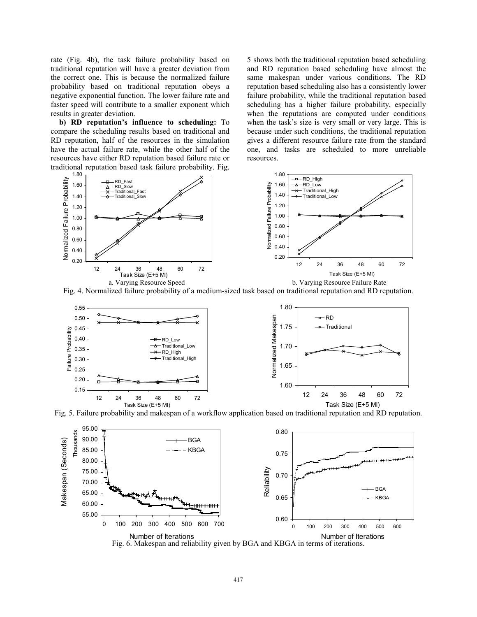rate (Fig. 4b), the task failure probability based on traditional reputation will have a greater deviation from the correct one. This is because the normalized failure probability based on traditional reputation obeys a negative exponential function. The lower failure rate and faster speed will contribute to a smaller exponent which results in greater deviation.

**b) RD reputation's influence to scheduling:** To compare the scheduling results based on traditional and RD reputation, half of the resources in the simulation have the actual failure rate, while the other half of the resources have either RD reputation based failure rate or traditional reputation based task failure probability. Fig.

Normalized Failure Probability

5 shows both the traditional reputation based scheduling and RD reputation based scheduling have almost the same makespan under various conditions. The RD reputation based scheduling also has a consistently lower failure probability, while the traditional reputation based scheduling has a higher failure probability, especially when the reputations are computed under conditions when the task's size is very small or very large. This is because under such conditions, the traditional reputation gives a different resource failure rate from the standard one, and tasks are scheduled to more unreliable resources.